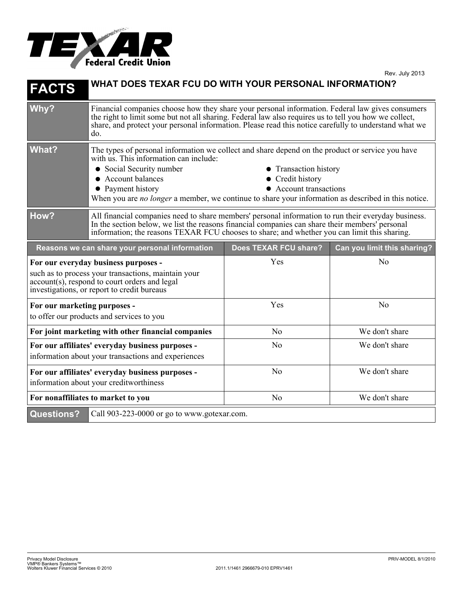

| <b>FACTS</b>                                                                                                                                                                                | WHAT DOES TEXAR FCU DO WITH YOUR PERSONAL INFORMATION?                                                                                                                                                                                                                                                                                                                                          |                       |                             |
|---------------------------------------------------------------------------------------------------------------------------------------------------------------------------------------------|-------------------------------------------------------------------------------------------------------------------------------------------------------------------------------------------------------------------------------------------------------------------------------------------------------------------------------------------------------------------------------------------------|-----------------------|-----------------------------|
| Why?                                                                                                                                                                                        | Financial companies choose how they share your personal information. Federal law gives consumers<br>the right to limit some but not all sharing. Federal law also requires us to tell you how we collect,<br>share, and protect your personal information. Please read this notice carefully to understand what we<br>do.                                                                       |                       |                             |
| <b>What?</b>                                                                                                                                                                                | The types of personal information we collect and share depend on the product or service you have<br>with us. This information can include:<br>• Social Security number<br>• Transaction history<br>• Account balances<br>• Credit history<br>• Account transactions<br>• Payment history<br>When you are no longer a member, we continue to share your information as described in this notice. |                       |                             |
| How?                                                                                                                                                                                        | All financial companies need to share members' personal information to run their everyday business.<br>In the section below, we list the reasons financial companies can share their members' personal<br>information; the reasons TEXAR FCU chooses to share; and whether you can limit this sharing.                                                                                          |                       |                             |
| Reasons we can share your personal information                                                                                                                                              |                                                                                                                                                                                                                                                                                                                                                                                                 | Does TEXAR FCU share? | Can you limit this sharing? |
| For our everyday business purposes -<br>such as to process your transactions, maintain your<br>account(s), respond to court orders and legal<br>investigations, or report to credit bureaus |                                                                                                                                                                                                                                                                                                                                                                                                 | Yes                   | N <sub>o</sub>              |
| For our marketing purposes -<br>to offer our products and services to you                                                                                                                   |                                                                                                                                                                                                                                                                                                                                                                                                 | Yes                   | N <sub>0</sub>              |
| For joint marketing with other financial companies                                                                                                                                          |                                                                                                                                                                                                                                                                                                                                                                                                 | N <sub>o</sub>        | We don't share              |
| For our affiliates' everyday business purposes -<br>information about your transactions and experiences                                                                                     |                                                                                                                                                                                                                                                                                                                                                                                                 | N <sub>0</sub>        | We don't share              |
| For our affiliates' everyday business purposes -<br>information about your creditworthiness                                                                                                 |                                                                                                                                                                                                                                                                                                                                                                                                 | N <sub>o</sub>        | We don't share              |
| For nonaffiliates to market to you                                                                                                                                                          |                                                                                                                                                                                                                                                                                                                                                                                                 | N <sub>0</sub>        | We don't share              |
|                                                                                                                                                                                             |                                                                                                                                                                                                                                                                                                                                                                                                 |                       |                             |